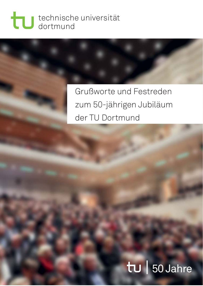## technische universität dortmund

## Grußworte und Festreden zum 50-jährigen Jubiläum der TU Dortmund

# | 50 Jahre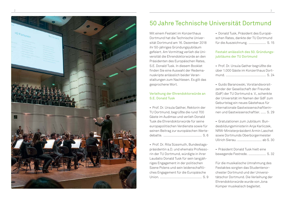

### 50 Jahre Technische Universität Dortmund

Mit einem Festakt im Konzerthaus Dortmund hat die Technische Universität Dortmund am 16. Dezember 2018 ihr 50-jähriges Gründungsjubiläum gefeiert. Am Vormittag verlieh die Universität die Ehrendoktorwürde an den Präsidenten des Europäischen Rates, S.E. Donald Tusk. In diesem Booklet fi nden Sie eine Auswahl der Redemanuskripte anlässlich beider Veranstaltungen zum Nachlesen. Es gilt das gesprochene Wort.

#### Verleihung der Ehrendoktorwürde an S.E. Donald Tusk

• Prof. Dr. Ursula Gather, Rektorin der TU Dortmund, begrüßte die rund 700 Gäste im Audimax und verlieh Donald Tusk die Ehrendoktorwürde für seine europapolitischen Verdienste sowie für seinen Beitrag zur europäischen Wertedebatte. ............................................ S. 6

• Prof. Dr. Rita Süssmuth, Bundestagspräsidentin a.D. und ehemals Professorin der TU Dortmund, würdigte in ihrer Laudatio Donald Tusk für sein langjähriges En gagement in der politischen Szene Polens und sein leidenschaftliches Engagement für die Europäische Union. ................................................ S. 9 • Donald Tusk, Präsident des Europäischen Rates, dankte der TU Dortmund für die Auszeichnung. .................... S. 15

#### Festakt anlässlich des 50. Gründungsjubiläums der TU Dortmund

• Prof. Dr. Ursula Gather begrüßte die über 1.000 Gäste im Konzerthaus Dortmund. .............................................. S. 24

• Guido Baranowski, Vorstandsvorsitzender der Gesellschaft der Freunde (GdF) der TU Dortmund e. V., schenkte der Universität im Namen der GdF zum Geburtstag ein neues Gästehaus für internationale Gastwissenschaftlerinnen und Gastwissenschaftler. ...... S. 29

• Gratulationen zum Jubiläum: Bundesbildungsministerin Anja Karliczek, NRW-Ministerpräsident Armin Laschet sowie Dortmunds Oberbürgermeister Ullrich Sierau. ............................ ab S. 30

• Präsident Donald Tusk hielt eine bewegende Festrede. .................... S. 32

Für die musikalische Umrahmung des Festaktes sorgten das Studentenorchester Dortmund und der Universitätschor Dortmund. Die Verleihung der Ehrendoktorwürde wurde von Jona Kümper musikalisch begleitet.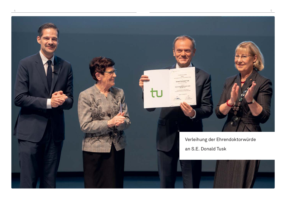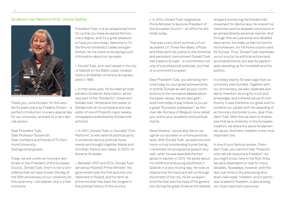#### Grußwort der Rektorin Prof. Ursula Gather



Thank you, Jona Kümper, for this wonderful piano piece by Frédéric Chopin – a perfect introduction to a very special day for our university, and also to a very special person.

Dear President Tusk, Dear Professor Süssmuth, Dear members and friends of TU Dortmund University, Distinguished guests,

Today, we will confer an honorary doctorate on the President of the European Council, Donald Tusk. And it is not a coincidence that we have chosen the day of the 50th anniversary of our university for this ceremony; I will explain why in a few moments.

President Tusk, it is an exceptional honor for us that you have accepted the honorary degree, and it's a great pleasure to have you here today. Welcome to TU Dortmund University! Ladies and gentlemen, let me share some background information about our laureate:

- Donald Tusk, born and raised in the city of Gdańsk on the Baltic coast, studied history at Gdańsk University and graduated in 1980.
- In that same year, he founded an Independent Students' Association, which was part of the "Solidarity" movement, Solidarność. He became the leader of Solidarność at his workplace and was editor of one of Poland's major weekly newspapers published by Solidarność activists.
- In 2001, Donald Tusk co-founded "Civic Platform", a new centrist political party. It combined various political movements and brought together liberal and Christian-Democratic ideas. In 2003, he became its leader.
- Between 2007 and 2014, Donald Tusk served as Poland's Prime Minister. His government was the first and only one reelected in Poland, and his term as prime minister has been the longest in the political history of the country.

• In 2014, Donald Tusk resigned as Prime Minister to become President of the European Council – an office he still holds today.

That was a very short summary of our laureate's CV. These few dates, offices and titles don't do justice to the immense and persistent commitment Donald Tusk has made to Europe – a commitment not only of a professional politician, but that of a convinced European.

Dear President Tusk, you are being honored today for your great achievements in and for Europe as well as your contributions to the normative debate about European values. We are also gathered here today to pay tribute to you as a great "European statesman", as Herman Van Rompuy of Belgium once called you, and to your academic and political merits.

Nevertheless, I would also like to recognize our laureate on a more personal level. With Donald Tusk, we welcome and honor a truly outstanding human being. I remember his acceptance speech very well, when he was awarded the *Karlspreis* in Aachen in 2010. He spoke about his childhood and young adulthood in Gdańsk in a very moving way. He took us listeners by the hand and led us through the streets of his city, he let us experience the fear and the hope of his generation during the great strike at the Gdańsk

shipyard and during the Solidarność movement for democracy. He shared his memories and his deepest convictions in an extraordinarily personal manner. And through this very personal and detailed description, he made us feel his love for his hometown, for his home country and for Europe. Thus, Donald Tusk impresses us not only by his political actions and accomplishments, but also by passionately standing up for his beliefs and his politics.

It is today exactly 50 years ago that our university was founded. Together with our anniversary, we also celebrate academic freedom, striving for truth and knowledge, and a shared sense of community. It was therefore our great wish to combine our jubilee with the awarding of an honorary doctorate to you, dear President Tusk. With this we want to emphasize that as a university in the European tradition, we share the same fundamental values. And here, freedom is the most important one.

In one of your famous quotes, President Tusk, you mention that "Poland's only natural resource is freedom". As you might know, here in the Ruhr Area, we were dependent on coal for many decades. Nowadays, however, with the last coal mine in the area being shut down next week, freedom, and in particular academic freedom, is also among our most important resources.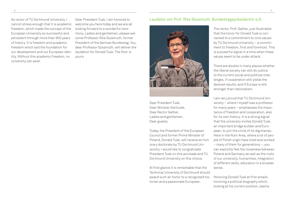As rector of TU Dortmund University, I cannot stress enough that it is academic freedom, which made the concept of the European University so successful and persistent through more than 900 years of history. It is freedom and academic freedom which laid the foundation for our development and our European identity. Without this academic freedom, no university can exist.

Dear President Tusk, I am honored to welcome you here today and we are all looking forward to a wonderful ceremony. Ladies and gentlemen, please welcome Professor Rita Süssmuth, former President of the German Bundestag. You, dear Professor Süssmuth, will deliver the laudation for Donald Tusk. The floor is yours.

#### Laudatio von Prof. Rita Süssmuth, Bundestagspräsidentin a.D.



Dear President Tusk, Dear Minister Karliczek, Dear Rector Gather, Ladies and gentlemen, Dear guests,

Today, the President of the European Council and former Prime Minister of Poland, Donald Tusk, will receive an honorary doctorate by TU Dortmund University. I would like to congratulate President Tusk on this accolade and TU Dortmund University on this choice.

At first glance it is remarkable that the Technical University of Dortmund should award such an honor to a recognized historian and a passionate European.

The rector, Prof. Gather, just illustrated that the honor for Donald Tusk is connected to a commitment to core values by TU Dortmund University – a commitment to freedom, first and foremost. This is a powerful signal in a time when these values seem to be under attack.

There are doubts in many places whether the liberal society can still do justice to the current social and political challenges, if cooperation still yields the desired results, and if Europe is still stronger than nationalism.

I am very proud that TU Dortmund University – where I myself was a professor for many years – emphasizes the importance of freedom and cooperation, also for its own history. It is a strong signal that the university invites Donald Tusk, an important bridge builder and European, to join the circle of its dignitaries. Here in the Ruhr Area, where a lot of people of Polish origin have lived and worked – many of them for generations –, you can explicitly feel the closeness between Poland and Germany as well as the roots of our university, humanities, integration of different skills, education in a broader sense.

Honoring Donald Tusk at first entails honoring a political biography which, looking at his current position, seems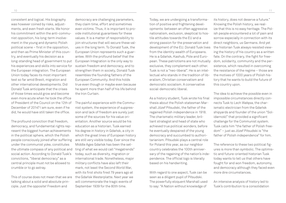consistent and logical. His biography was however coined by risks, adjustments, and even fresh starts. We honor his commitment within the anti-communist opposition, his long-term involvement in the young and dynamic Polish political scene  $-$  first in the opposition, and then as Prime Minister of this country, and eventually his decision as a long-standing head of government to put his experiences and skills into service for the European integration. The European Union today faces its most important test so far amid Brexit, migration and other international developments. Did Donald Tusk anticipate that the crises of those times would grow and become even more acute when he took the office of President of the Council on the 12th of December of 2014? I am sure, even if he did, he would have still taken the office.

The profound conviction that freedom, democracy, and fundamental rights represent the biggest human achievements in the political sphere, which the Polish people consciously joined after suffering under the communist yoke, constitutes the ultimate compass of any political and social action. According to Donald Tusk's convictions, "liberal democracy" as a central principle must not be allowed to crumble or to go astray.

This of course does not mean that we are talking about a solid and absolute principle. Just the opposite! Freedom and

democracy are challenging parameters, they claim time, effort and sometimes even victims. Thus, it is important to provide institutional guarantees for these values. It is a matter of responsibility to join structures that will secure these values in the long term. To Donald Tusk, the European Union represents such a guarantee. With the profound belief that the European Integration is the only way to sustain freedom and democracy, and to strengthen them in society, Donald Tusk resembles the founding fathers of the European Community. And this holds true even though or maybe even because he spent more than half of his life behind the Iron Curtain.

The painful experience with the Communist system, the experience of suppression and lack of freedom are surely just some of the sources for his value orientation. Another source would be his education as a historian. Tusk earned his degree in history in Gdańsk, a city in which the great lines of European history are still very visible today. Ever since the Middle Ages Gdańsk has been the setting of what we would call "megatrends" today, such as diversity, migration or international trade. Nonetheless, major military conflicts have also left their mark, not least the Second World War, with its first shots fired 79 years ago at the Gdańsk Westerplatte. Next year we will commemorate the tragic events of September 1939 for the 80th time.

Today, we are undergoing a transformation of positive and frightening developments: between an often aggressive nationalism, exclusion, skeptical to hostile attitudes towards the EU and a strong passion for the preservation and development of the EU. Donald Tusk lives from the identity wealth of Europeans. He is a Gdańsk, Kashub, Pole and European. These patriotisms are not mutually exclusive, they complement each other. Tusk is not a "neo-liberal". He is an intellectual who stands in the tradition of liberalism, Christian conservatism and democratic socialism. A conservative social-democratic liberal.

As a history student, Tusk wrote his final thesis about the Polish statesman Marshall Józef Piłsudski, the father of the regained Polish independence in 1918. The charismatic military leader, brilliant strategist and head of state who achieved true political wonders, before he eventually despaired of the young democracy and succumbed to authoritarianism. Piłsudski plays a central role for Poland this year, as our neighbor country celebrates the 100th anniversary of the regaining of the nation's independence. The official logo is literally based on his handwriting.

With regard to one aspect, Tusk can be seen as a diligent pupil of Piłsudski. The powerfully eloquent Marshall used to say: "A Nation without knowledge of

its history, does not deserve a future." Knowing the Polish history, we realize that this is no easy heritage. The Polish people encountered a lot of pain and sorrow especially in connection with its direct neighbors, us Germans. And yet the historian Tusk always resisted viewing the history of his country as a written fate. On the contrary, the fight for freedom, solidarity, community and the persistence, which resulted in overcoming the resistance of the regime – those are the motives of 1000 years of Polish history that he wants to build the future of this country upon.

The idea to achieve the possible even in impossible circumstances directly connects Tusk to Lech Wałęsa, the charismatic electrician from the Gdańsk shipyards and founder of the union "Solidarność" that provided a significant challenge for the Communist system. Tusk calls him "the father of Polish freedom" – just as Józef Piłsudski is "the father of Polish independence" for him.

The reference to these two political figures is more than symbolic. The optimistic and future-oriented historian Tusk today wants to tell us that others have fought for and won freedom, autonomy, and democracy although they faced even more dire circumstances.

An intensive analysis of history led to Tusk's contribution to a consolidation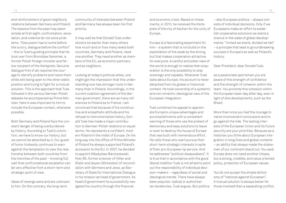and reinforcement of good neighborly relations between Germany and Poland. The lessons from the past may seem simple at first sight: confrontation, escalation, and violence do not solve problems. "Discussion has to come before the outcry, dialogue before the conflict" – this is Tusk's guiding principle that he took over from Bronisław Geremek, a former Polish foreign minister and fellow recipient of the *Karlspreis*. Genuine dialogue first of all requires the courage to identify problems and name them while still being open to the other side's position and trying to fight for a mutual solution. This is the approach that Tusk followed in the various German-Polish debates he accompanied as Prime Minister. Here it was important to him to include the European context, whenever possible.

Both Germany and Poland face the constant danger of being overburdened by history. According to Tusk's conviction, we have to know our history, but we cannot be absorbed by it. Our guest of honor tirelessly continues to warn against the temptation to view the relationship between both countries from the trenches of the past – knowing full well that confrontational escalation can be very effective from a short-term and strategic point of view.

Ideas of revenge were and are unknown to him. On the contrary, the long-term

community of interests between Poland and Germany has always been his first priority.

It may well be that Donald Tusk understood a lot earlier than many others how much and on how many levels both countries, Germany and Poland, need one another. They need another as members of the EU, as economic partners, and as neighbors.

Looking at today's political elites, one might get the impression that this understanding now has stronger roots in Germany than in Poland. Accordingly, in the current coalition agreement of the German government, there are as many references to Poland as to France. I am convinced that because of his constructive and empathetic attitude and his refusal to instrumentalize history, Donald Tusk has made a major contribution to German-Polish relations on equal terms. He represents a confident, modern Poland in the midst of Europe. On his long way into the office of Prime Minister of Poland he always supported Poland's accession to the EU. In 2007, he decided to appoint Władysław Bartoszewski, then 85, former prisoner of Hitler and Stalin and doyen (Altmeister) of reconciliation with Germans and Jews, as Secretary of State for International Dialogue in his mission as head of government. As head of government he successfully navigated his country through the financial

Europe is a fascinating experiment for him – a system that is not build on the exploitation of the weak by the strong, but that makes cooperation attractive for everyone. A careful and sober view of the world is enough to realize that cooperation is the only possibility to stay sovereign and capable. Whenever Tusk talks about Europe, his account is never detached from its global or historical context. He took ownership of a systemic and not romantic-ideological view of the European integration.

Tusk combines his appeal to appreciate Europe's unique advantages and accomplishments with a consistent warning of those who use the pretext of democracy and easy solutions to leave or even to destroy the house of Europe that was built with tremendous effort. He calls those who want pursue their short-term strategic interests in spite of their pro-European lip service. And he addresses "political sleepwalkers". It is true that in accordance with the good liberal tradition Tusk is not afraid to point out the responsibility of individual decision-makers – regardless of social and ideological trends. There have always been populist, radical or authoritarian tendencies, Tusk argues. But politics

– also European politics – always consists of individual decisions. Only if we Europeans make an effort to establish cooperative solutions we stand a chance in the wake of global developments: "United we stand, divided we fall" – a principle that lead to groundbreaking success in Europe's as well as Poland's history.

Dear President, dear Donald Tusk,

as a passionate sportsman you are aware of the strength of confidence and the strength of cohesion within the team. You promote this cohesion within the European team day after day, even in light of dire developments, such as the Brexit.

More than once you had the courage to name inconvenient conclusions and to go against the tide. The lasting interests of the European Union and its future security are your priorities. Because as a historian you think about European integration in long lines and global contexts – an ability that always made the statesmen of our continent stand out. You said, Europe does not need another Utopia, but a strong, credible, and value oriented policy, protection of European values.

You do not accept the simple dichotomy of "national against European". A mutual solution is always better for those involved than a separating conflict.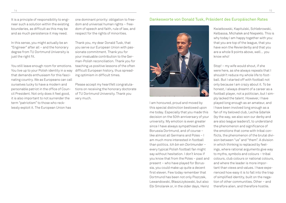It is a principle of responsibility to engineer such a solution within the existing boundaries, as difficult as this may be and as much persistence it may need.

In this sense, you might actually be an "Engineer" after all – and the honorary degree from TU Dortmund University is just the right fit.

You still leave enough room for emotions. You live up to your Polish identity in a way that demands enthusiasm for this fascinating country. We as Europeans can call ourselves lucky to have a modern and personable patriot in the office of Council President. Not only does it feel good, it is also important to not surrender the term "patriotism" to those who recklessly exploit it. The European Union has

one dominant priority: obligation to freedom and universal human rights – freedom of speech and faith, rule of law, and respect for the rights of minorities.

Thank you, my dear Donald Tusk, that you serve our European Union with passionate commitment. Thank you for your invaluable contribution to the German-Polish reconciliation. Thank you for teaching us positive lessons of the often difficult European history, thus spreading optimism in difficult times.

Please accept my heartfelt congratulations on receiving the honorary doctorate of TU Dortmund University. Thank you very much.

#### Dankesworte von Donald Tusk, Präsident des Europäischen Rates



I am honoured, proud and moved by this special distinction bestowed upon me today. Especially that you made this decision on the 50th anniversary of your university. My emotion is even greater since I have always sympathised with Borussia Dortmund, and of course – like almost all Germans and Poles – I am much more interested in football than politics. *Ich bin ein Dortmunder* – every typical Polish football fan might say without hesitation. I don't know if you know that from the Poles – past and present – who have played for Borussia, you could make up quite a decent first eleven. Few today remember that Dortmund has been not only Piszczek, Lewandowski, Błaszczykowski, but also Ebi Smolarek or, in the older days, Heinz

Kwiatkowski, Kapitulski, Schlebrowski, Kelbassa, Michałek and Niepekło. This is why today I am happy together with you: that you are top of the league, that you have won the Revierderby and that you are a whole 9 points above, well… you know who!

Stop! – my wife would shout, if she were here, as she always repeats that I shouldn't reduce my whole life to football. But I started off with football not only because I am crazy about it. To be honest, I always dreamt of a career as a football player, not a politician, but I simply lacked the talent. However, I have played long enough as an amateur, and I have been involved long enough as a fan of my beloved club, Lechia Gdańsk (by the way, we also won our derby and are also league leaders!), to understand the phenomenon and significance of the emotions that come with tribal conflicts, the phenomenon of the brutal division between "us" and "them". A division in which thinking is replaced by feelings, where rational arguments give way to myths, symbols and colours – tribal colours, club colours or national colours, and where the leader is more important than views and values. I have experienced how easy it is to fall into the trap of simplified identity, built on the negation of other communities. Other – and therefore alien, and therefore hostile.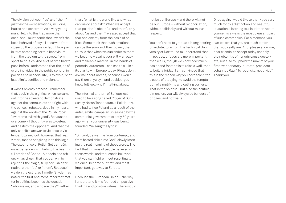The division between "us" and "them" justifies the worst emotions, including hatred and contempt. As a very young man, I fell into this trap more than once, and I must admit that I wasn't the best-behaved of boys. I observed from close-up the process (in fact, I took part in it) of spreading certain behaviours from the stadium to the street, from sport to politics. And a lot of time had to pass before I understood that the job of every individual in the public sphere, in politics and in social life, is to avoid, or at least limit, conflict and violence.

It wasn't an easy process. I remember that, back in the eighties, when we came out into the streets to demonstrate against the communists and fight with the police, I rebelled, deep in my heart, against the words of the Polish Pope: "overcome evil with good". Because to overcome – I thought – was to defeat and destroy the opponent. And that the only sensible answer to violence is violence. It turned out, however, that real victory means not giving in to this logic. The experience of Polish Solidarność, my experience – similarly to the beautiful stories of Ghandi, Mandela and others – has shown that you can win by rejecting the tragic, truly devilish alternative: either "us" or "them". Because if we don't reject it, as Timothy Snyder has noted, the first and most important matter in politics becomes the question: "who are we, and who are they?" rather

than: "what is the world like and what can we do about it?" When we accept that politics is about "us and them", only about "us and them", we also accept that fear and anxiety form the basis of politics. Some think that such emotions can be the source of their power; the truth is that when we surrender to them, we become – against our will – an easy and malleable material in the hands of potential autocrats. I can see this – in all its clarity – in Europe today. Please don't ask me about names, because I won't say them anyway – and besides, you know full well who I'm talking about.

The informal anthem of Solidarność used to be a song called *Prayer at Sunrise* by Natan Tenenbaum, a Polish Jew, who had to flee Poland as a result of the anti-Semitic campaign unleashed by the communist government exactly 50 years ago, when your university was being founded. We sang the lyrics:

"Oh Lord, deliver me from contempt, and from hatred shield me God", slowly learning the real meaning of these words. The fact that millions of people believed in these words, and thousands believed that you can fight without resorting to violence, became our first, and most important, gateway to Europe.

Because the European Union – the way I understand it – is founded on positive thinking and positive values. There would

not be our Europe – and there will not be our Europe – without reconciliation, without solidarity and without mutual respect.

You don't need to graduate in engineering or architecture from the Technical University of Dortmund to understand that in politics, bridges are more important than walls, though we know how much easier and faster it is to raise a wall, than to build a bridge. I am convinced that this is the reason why you have taken the trouble of studying: to avoid the temptation of simplifying and cutting corners. That in the spiritual, but also the political dimension, you will always be builders of bridges, and not walls.

Once again, I would like to thank you very much for this distinction and beautiful laudation. Listening to a laudation about yourself is always the most pleasant part of such ceremonies. For a moment, you can believe that you are much better than you really are. And, please allow me, dear friends, to accept today not only the noble title of honoris causa doctorate, but also to uphold the maxim of your first ever honorary laureate, president Johannes Rau: "To reconcile, not divide". Thank you.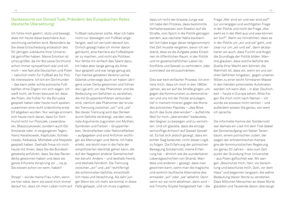#### Dankesworte von Donald Tusk, Präsident des Europäischen Rates (deutsche Übersetzung)

Ich fühle mich geehrt, stolz und bewegt, dass mir heute diese besondere Auszeichnung verliehen wird. Besonders da Sie diese Entscheidung anlässlich des 50-jährigen Jubiläums Ihrer Universität getroffen haben. Meine Emotion ist umso größer, da mir Borussia Dortmund schon immer sympathisch war und ich mich – wie fast alle Deutschen und Polen – natürlich mehr für Fußball als für Politik interessiere. Ich bin ein Dortmunder – das kann jeder echte polnische Fußballfan ohne Zögern von sich sagen. Ich weiß nicht, ob Ihnen bewusst ist, dass die Polen, die früher für die Borussia gespielt haben oder heute noch spielen, zusammen eine recht ordentliche erste Elf abgeben würden. Nur wenige erinnern sich heute noch daran, dass für Dortmund nicht nur Piszczek, Lewandowski, Błaszczykowski, sondern auch Ebi Smolarek oder, in vergangenen Tagen, Heinz Kwiatkowski, Kapitulski, Schlebrowski, Kelbassa, Michałek und Niepekło gespielt haben. Deshalb freue ich mich heute mit Ihnen: dass Sie die Bundesligatabelle anführen, dass Sie das Revierderby gewonnen haben und dass sie ganze 9 Punkte Vorsprung vor ... na ja, Sie wissen schon vor wem, haben!

Stopp! – würde meine Frau rufen, wenn sie hier wäre, denn sie weist mich immer darauf hin, dass ich mein Leben nicht auf Falle getappt, und ich muss zugeben,

Fußball reduzieren sollte. Aber ich habe nicht nur deswegen von Fußball angefangen, weil ich verrückt danach bin. Ehrlich gesagt habe ich immer davon geträumt, eine Karriere als Fußballspieler zu machen, und nicht als Politiker. Nur fehlte mir einfach das Talent dazu. Ich habe aber lange genug als Amateur gespielt und war lange genug als Fan meines geliebten Vereins Lechia Gdańsk unterwegs (auch wir haben übrigens unser Derby gewonnen und führen die Liga an!), um das Phänomen und die Bedeutung von Gefühlen zu verstehen, die mit Gruppenkonflikten verbunden sind, nämlich das Phänomen der brutalen Trennung zwischen "wir" und "sie". Bei dieser Trennung wird das Denken durch Gefühle verdrängt, werden rationale Argumente zugunsten von Mythen, Symbolen und Farben – Gruppenfarben, Vereinsfarben oder Nationalfarben – aufgegeben und sind Anführer wichtiger als Meinungen und Werte. Ich habe erlebt, wie leicht man in die Falle der simplifizierten Identität gehen kann, die auf der Negation anderer Gemeinschaften beruht. Anders – und deshalb fremd, und deshalb feindlich. Die Trennung zwischen "wir" und "sie" rechtfertigt die schlimmsten Gefühle, einschließlich Hass und Verachtung. Als sehr junger Mann bin ich mehr als einmal in diese

dass ich nicht der bravste Junge war. Ich habe den Prozess, dass bestimmte Verhaltensweisen vom Stadion auf die Straße, vom Sport in die Politik getragen werden, aus nächster Nähe beobachtet (ich habe sogar daran teilgenommen). Viel Zeit musste vergehen, bevor ich verstand, dass es die Aufgabe jedes Einzelnen im öffentlichen Raum, in der Politik und im gesellschaftlichen Leben ist, Konflikte und Gewalt zu verhindern, oder zumindest sie einzuschränken.

Dies war kein einfacher Prozess. Ich erinnere mich, dass ich mich in den 1980er Jahren, als wir auf die Straße gingen, um gegen die Kommunisten zu demonstrieren und uns mit der Polizei anzulegen, tief in meinem Inneren gegen die Worte des polnischen Papstes - "das Böse durch das Gute überwinden" – auflehnte. Weil für mich "überwinden" bedeutete. den Gegner zu besiegen und zu vernichten. Und ich glaubte, dass die einzige vernünftige Antwort auf Gewalt Gewalt ist. Es hat sich jedoch gezeigt, dass ein echter Sieg bedeutet, nicht dieser Logik zu folgen. Die Erfahrung der polnischen Bewegung Solidarność, meine Erfahrung hat – ähnlich wie die wunderbaren Lebensgeschichten von Ghandi, Mandela und anderen – gezeigt, dass man gewinnen kann, wenn man die tragische und wirklich teufl ische Alternative des entweder "wir" oder "sie" ablehnt. Denn wenn wir sie nicht ablehnen, dann wird – wie Timothy Snyder festgestellt hat – die

Frage "Wer sind wir und wer sind sie?" zur vorrangigen und wichtigsten Frage in der Politik und nicht die Frage "Wie sieht es in der Welt aus und was können wir tun?". Wenn wir hinnehmen, dass es in der Politik um "wir und sie" geht, und zwar nur um "wir und sie", dann akzeptieren wir auch, dass Furcht und Angst die Grundlage der Politik bilden. Manche glauben, dass solche Gefühle die Quelle ihrer Macht sein können; die Wahrheit ist, dass wir, wenn wir uns solchen Gefühlen hingeben, gegen unseren Willen zu einer leicht formbaren Masse in den Händen potenzieller Autokraten werden. Ich kann dies – in aller Deutlichkeit – heute in Europa sehen. Bitte fragen Sie mich nicht nach Namen – ich würde sie sowieso nicht nennen – und außerdem wissen Sie genau, von wem ich spreche.

Die informelle Hymne der Solidarność war damals ein Lied mit dem Titel *Gebet bei Sonnenaufgang* von Natan Tenenbaum, einem polnischen Juden, der wegen der antisemitischen Kampagne der kommunistischen Regierung vor genau 50 Jahren – also zum Zeitpunkt der Gründung Ihrer Universität – aus Polen gefl üchtet war. Wir sangen "Beschütze mich, Herr, vor Verachtung und beschütze mich, Gott, vor dem Hass" und begannen langsam, die wahre Bedeutung dieser Worte zu verstehen. Dass Millionen Menschen an diese Worte glaubten und Tausende davon überzeugt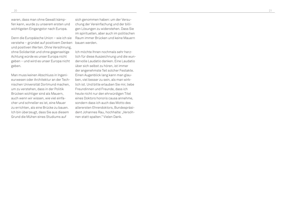waren, dass man ohne Gewalt kämpfen kann, wurde zu unserem ersten und wichtigsten Eingangstor nach Europa.

Denn die Europäische Union – wie ich sie verstehe – gründet auf positivem Denken und positiven Werten. Ohne Versöhnung, ohne Solidarität und ohne gegenseitige Achtung würde es unser Europa nicht geben – und wird es unser Europa nicht geben.

Man muss keinen Abschluss in Ingenieurwesen oder Architektur an der Technischen Universität Dortmund machen, um zu verstehen, dass in der Politik Brücken wichtiger sind als Mauern, auch wenn wir wissen, wie viel einfacher und schneller es ist, eine Mauer zu errichten, als eine Brücke zu bauen. Ich bin überzeugt, dass Sie aus diesem Grund die Mühen eines Studiums auf

sich genommen haben: um der Versuchung der Vereinfachung und der billigen Lösungen zu widerstehen. Dass Sie im spirituellen, aber auch im politischen Raum immer Brücken und keine Mauern bauen werden.

Ich möchte Ihnen nochmals sehr herzlich für diese Auszeichnung und die wundervolle Laudatio danken. Eine Laudatio über sich selbst zu hören, ist immer der angenehmste Teil solcher Festakte. Einen Augenblick lang kann man glauben, viel besser zu sein, als man wirklich ist. Und bitte erlauben Sie mir, liebe Freundinnen und Freunde, dass ich heute nicht nur den ehrwürdigen Titel eines Doktors honoris causa annehme, sondern dass ich auch das Motto des allerersten Ehrendoktors, Bundespräsident Johannes Rau, hochhalte: "Versöhnen statt spalten." Vielen Dank.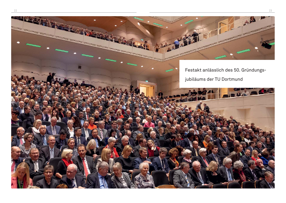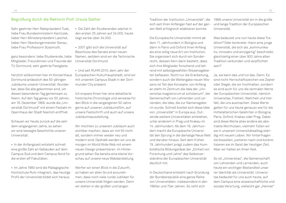#### Begrüßung durch die Rektorin Prof. Ursula Gather

Sehr geehrter Herr Ratspräsident Tusk, liebe Frau Bundesministerin Karliczek, lieber Herr Ministerpräsident Laschet, lieber Herr Oberbürgermeister Sierau, liebe Frau Professorin Süssmuth,

ganz besonders: liebe Studierende, liebe Mitglieder, Freundinnen und Freunde der TU Dortmund, sehr geehrte Festgäste,

herzlich willkommen hier im Konzerthaus Dortmund anlässlich des 50-jährigen Jubiläums unserer Universität. Wunderbar, dass Sie alle gekommen sind, um diesen besonderen Tag gemeinsam zu feiern. Auf den Tag genau vor 50 Jahren, am 16. Dezember 1968, wurde die "Universität Dortmund" mit einem Festakt im Opernhaus der Stadt feierlich eröffnet.

Schauen wir heute zurück auf die seitdem vergangenen Jahre, so sehen wir eine bewegte Geschichte unserer Universität:

• In der Anfangszeit entsteht schnell eine große Zahl an Gebäuden auf dem Campus Süd und dem Campus Nord für die ersten elf Fakultäten.

• Im Jahre 1980 wird die Pädagogische Hochschule Ruhr integriert, das heutige Profi l der Universität bildet sich heraus.

- Die Zahl der Studierenden wächst in den ersten 25 Jahren auf 24.000, heute liegt sie bei über 34.000.
- 2007 gibt sich die Universität auf Beschluss des Senats einen neuen Namen, seitdem sind wir die Technische Universität Dortmund.

• Und seit RUHR.2010, dem Jahr der Europäischen Kulturhauptstadt, sind wir mit unserem Campus Stadt in der Dortmunder City präsent.

Ich erspare Ihnen hier eine detaillierte historische Chronologie und verweise für den Blick in die vergangenen 50 Jahre gerne auf unseren Jubiläumsfilm, auf unsere Festschrift und auch auf unsere Jubiläumsausstellung.

Wir möchten zu unserem Jubiläum auch sichtbar machen, dass wir mit 50 nicht alt, sondern immer wieder neu und modern sind: Deshalb werden wir uns ab morgen im World Wide Web mit einem neuen Design präsentieren. Im Hintergrund sehen Sie bereits eine kleine Vorschau auf unsere neue Webdarstellung.

Werfen wir einen Blick in die Zukunft, so haben wir allen Grund anzunehmen, dass noch viele runde Jubiläen für unsere Universität folgen werden. Denn wir stehen in der großen und langen

Tradition der Institution "Universität", die sich seit ihren Anfängen fast auf der ganzen Welt erfolgreich etablieren konnte.

Die Europäische Universität nimmt ab dem 11. Jahrhundert in Bologna und dann in Paris und Oxford ihren Anfang als eine völlig neue Art von Institution. Sie organisiert sich durch ein Sonderrecht, dessen Kern darin besteht, dass sich ihre Mitglieder forschend und lehrend mit selbstgewählten Wissensgebieten befassen. Nicht nur die Erarbeitung, sondern auch die Weitergabe neuen Wissens ist Teil des Konzepts: von Anfang an steht im Zentrum die Idee der "Universitas magistrorum et scholarium", der Gemeinschaft von Lehrenden und Lernenden; die Idee, die zur Namensgeberin wurde. Schnell breitet sich diese Idee von "Universität" in Europa aus. Dutzende weitere Universitäten entstehen, unter anderem in Prag und Krakau im 14. Jahrhundert. Ab dem 16. Jahrhundert macht die Europäische Universität den Sprung in die damalige Neue Welt und darüber hinaus. Seit dem frühen 19. Jahrhundert prägt zudem das Humboldtsche Bildungsideal der "Einheit von Forschung und Lehre" das Selbstverständnis der Europäischen Universität deutlich mit.

In Deutschland entsteht nach Gründung der Bundesrepublik eine ganze Reihe von Universitäten, insbesondere in den 1960er und 70er Jahren. So reiht sich

1968 unsere Universität ein in die große und lange Tradition der Europäischen Universität.

Was bedeutet uns nun heute diese Tradition? Oder konkreter: Kann eine junge Universität, die sich als "kommunikativ, innovativ und einzigartig" beschreibt, gleichzeitig einer über 900 Jahre alten Tradition verbunden und verpflichtet sein?

Ja, sie kann das und tut das. Denn: Es sind nicht Herrschaftszeichen wie Zepter oder Siegel, die wir hochhalten, sondern es sind auch für uns die zentralen Werte der Europäischen Universität, nämlich Universitas, Freiheit, Wahrheit und Vielfalt, die uns ausmachen. Diese Werte gelten für uns heute genauso wie für die mittelalterlichen Gelehrten in Bologna, Paris, Oxford, Krakau oder Prag. Dabei sind diese Werte alles andere als abstrakte Worthülsen, vielmehr füllen wir sie in unserem Universitätsalltag ständig mit neuem Leben. Wir hinterfragen sie bisweilen, justieren nach und konkretisieren sie im Geist der heutigen Zeit. Aber wir halten an ihnen fest.

So ist "Universitas", die Gemeinschaft von Lehrenden und Lernenden, auch heute ein wichtiger Bestandteil unserer Identität als Universität. Universitas bedeutet für uns auch heute, auf dem Campus eine wissenschaftliche und soziale Verortung, vielleicht gar "Heimat"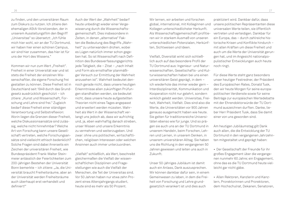zu finden, und den universitären Raum zum Diskurs zu nutzen. Ich zitiere den ehemaligen AStA-Vorsitzenden, der in unserem Ausstellungsfilm den Begriff "Universitas" so übersetzt: "Ich fühle mich hier wohl, wir an der TU Dortmund, wir haben hier einen schönen Campus, wir sind hier zusammen, das hier ist für uns der Hort des Wissens."

Kommen wir nun zum Wert "Freiheit". Freiheit in einer Universität war und ist stets die Freiheit der einzelnen Wissenschaftler, die eigene Forschung frei gestalten zu können. Diese Freiheit ist in Deutschland seit 1949 durch das Grundgesetz ausdrücklich geschützt – ich zitiere: "Kunst und Wissenschaft, Forschung und Lehre sind frei." Zugleich bedarf diese Freiheit einer ständigen Verantwortung und Selbstreflexion: Worin liegen die Grenzen dieser Freiheit, welche Diskussionsansätze sind zulässig, welche nicht hinnehmbar? Welche Art von Forschung kann unsere Gesellschaft vertreten, welche Forschungsansätze sind vielleicht ethisch bedenklich? Solche Fragen sind dabei ihrerseits ein Zeichen der universitären Freiheit, wie Bundespräsident Frank-Walter Steinmeier anlässlich der Feierlichkeiten zum 200-jährigen Bestehen der Universität Bonn bemerkte – ich zitiere: "Ja, die Universität braucht Freiheitsräume, aber an der Universität werden Freiheitsräume auch überhaupt erst verhandelt und definiert!"

Auch der Wert der Wahrheit" bedarf heute unbedingt wieder einer Vergewisserung durch die Wissenschaftsgemeinschaft. Dies insbesondere in Zeiten, in denen "alternative" Fakten die Bedeutung des Begriffs "Wahrheit" zu unterwandern drohen, wobei es Lügen natürlich immer schon gegeben hat. So ist Wissenschaft nach Definition des Bundesverfassungsgerichts jede Tätigkeit, die – Zitat – "nach Inhalt und Form als ernsthafter planmäßiger Versuch zur Ermittlung der Wahrheit anzusehen ist". Wahrheit bedeutet dennoch gerade nicht, dass unsere heutigen Erkenntnisse allen zukünftigen Prüfungen standhalten werden, sie bedeutet nicht, dass unsere heute aufgestellten Theorien nicht eines Tages angepasst und erweitert werden müssten. Wahrheit als Wert in der Wissenschaft verlangt uns jedoch ab, dass wir aufrichtig und, ja, eben wahrhaftig danach streben, unser Wissen und unsere Erkenntnis zu vermehren und weiterzugeben. Und zwar: ohne uns politischen, wirtschaftlichen, religiösen Interessen oder welchen Ansinnen auch immer unterzuordnen.

"Vielfalt" schließlich, als Wert, be schreibt gleichermaßen die Vielfalt der wissenschaftlichen Disziplinen und Fragestellungen wie auch die Vielfalt der Menschen, die Teil der Universitas sind. Vor 50 Jahren haben nur etwa zehn Prozent eines Altersjahrgangs studiert, heute sind es mehr als 50 Prozent.

Wir lernen, wir arbeiten und forschen global, international, mit Kolleginnen und Kollegen unterschiedlichster Herkunft. Als Wissenschaftsgemeinschaft profitieren wir in starkem Ausmaß von unseren unterschiedlichen Potenzialen, Herkünften, Sichtweisen und Ideen.

Vielfalt, Diversität wirkt sich schließlich auch auf das besondere Profil der TU Dortmund aus: Ingenieur- und Naturwissenschaften, Gesellschafts- und Kulturwissenschaften haben bei uns einen universitären Geist geprägt, in dem – ich wiederhole das immer wieder gern – Interdisziplinarität, Kommunikation und Kooperation nicht nur gelehrt, sondern wirklich gelebt werden. Universitas, Freiheit, Wahrheit, Vielfalt. Dies sind also die Werte, die Universitäten vor 900 Jahren genauso ausgemacht haben wie heute. Sie gelten für traditionsreiche Universitäten ebenso wie für junge. Und so prägen sie auch uns an der TU Dortmund in unserem Handeln, beim Forschen, Lehren und Lernen, in unserem Denken, in unserem universitären Alltag. Sie haben uns die Richtung in den vergangenen 50 Jahren gewiesen und leiten uns auch in Zukunft.

Unser 50-jähriges Jubiläum ist damit auch ein Anlass, Dank auszusprechen. Wir können dankbar dafür sein, in einem Gemeinwesen zu leben, in dem die Freiheit von Forschung und Lehre grundgesetzlich verankert ist und dies auch

praktiziert wird. Dankbar dafür, dass unsere politischen Repräsentanten diese universalen Werte teilen, sie öffentlich vertreten und verteidigen. Dankbar für ein Europa, das – durch zahlreiche historische Krisen und Konflikte hindurch – mit allen Kräften um diese Freiheit und auch um die Werte der Universität gerungen hat, und im Angesicht nationalpopulistischer Entwicklungen auch heute noch ringt.

Für diese Werte steht ganz besonders unser heutiger Festredner, der Präsident des Europäischen Rates, Donald Tusk, den wir heute Morgen für seine europapolitischen Verdienste sowie für seine Beiträge zur europäischen Wertedebatte mit der Ehrendoktorwürde der TU Dortmund auszeichnen durften. Danke, lieber Herr Präsident Tusk, dass Sie damit einer von uns geworden sind.

Am heutigen Jubiläumstag gilt Dank auch allen, die die Entwicklung der TU Dortmund in den vergangenen Jahrzehnten mitgestaltet und geprägt haben:

- Der Gesellschaft der Freunde für ihr großes Engagement über die vergangenen nunmehr 60 Jahre; ein Engagement, ohne das es die TU Dortmund heute vielleicht gar nicht gäbe.
- Allen Rektoren, Kanzlerin und Kanzlern, Prorektorinnen und Prorektoren, dem Hochschulrat, Dekanen, Senatoren,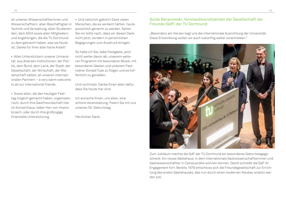all unseren Wissenschaftlerinnen und Wissenschaftlern, allen Beschäftigten in Technik und Verwaltung, allen Studierenden, dem AStA sowie allen Mitgliedern und Angehörigen, die die TU Dortmund zu dem gemacht haben, was sie heute ist. Danke für Ihrer aller harte Arbeit!

• Allen Unterstützern unserer Universität, aus diversen Institutionen, der Politik, dem Bund, dem Land, der Stadt, der Gesellschaft, der Wirtschaft, der Wissenschaft selbst, all unseren internationalen Partnern – a very warm welcome to all our international friends.

• Sowie allen, die den heutigen Festtag möglich gemacht haben, organisatorisch, durch ihre Gastfreundschaft hier im Konzerthaus, lieber Herr von Hoensbroech, oder durch ihre großzügige finanzielle Unterstützung.

• Und natürlich gebührt Dank vielen Menschen, die es verdient hätten, heute persönlich genannt zu werden. Sehen Sie mir bitte nach, dass wir diesen Dank nicht jetzt, sondern in persönlichen Begegnungen zum Ausdruck bringen.

So halte ich Sie, liebe Festgäste, jetzt nicht weiter davon ab, unserem weiteren Programm mit besonderer Musik, mit besonderen Gästen und unserem Festredner Donald Tusk zu folgen und es hoffentlich zu genießen.

Und nochmals: Danke Ihnen allen dafür, dass Sie heute hier sind.

Ich wünsche Ihnen, uns allen, eine schöne Veranstaltung. Feiern Sie mit uns unseren 50. Geburtstag.

Herzlichen Dank.

#### Guido Baranowski, Vorstandsvorsitzender der Gesellschaft der Freunde (GdF) der TU Dortmund:

"Besonders am Herzen liegt uns die internationale Ausrichtung der Universität. Diese Entwicklung wollen wir auch zukünftig weiter vorantreiben."



Zum Jubiläum machte die GdF der TU Dortmund ein besonderes Geburtstagsgeschenk: Ein neues Gästehaus, in dem internationale Gastwissenschaftlerinnen und Gastwissenschaftler in Campusnähe wohnen können. Damit schreibt die GdF ihr Engagement fort: Bereits 1979 entschloss sich die Freundegesellschaft zur Errichtung des ersten Gästehauses, das nun durch einen modernen Neubau ersetzt werden soll.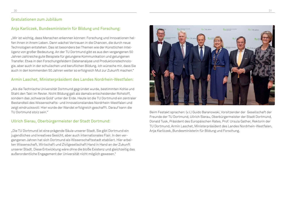#### Gratulationen zum Jubiläum

#### Anja Karliczek, Bundesministerin für Bildung und Forschung:

"Mir ist wichtig, dass Menschen erkennen können: Forschung und Innovationen helfen ihnen in ihrem Leben. Dann wächst Vertrauen in die Chancen, die durch neue Technologien entstehen. Das ist besonders bei Themen wie der Künstlichen Intelligenz von großer Bedeutung. An der TU Dortmund gibt es aus den vergangenen 50 Jahren zahlreiche gute Beispiele für gelungene Kommunikation und gelungenen Transfer. Etwa in den Forschungsfeldern Datenanalyse und Produktionstechnologie, aber auch in der schulischen und beruflichen Bildung. Ich wünsche mir, dass Sie auch in den kommenden 50 Jahren weiter so erfolgreich Mut zur Zukunft machen."

#### Armin Laschet, Ministerpräsident des Landes Nordrhein-Westfalen:

"Als die Technische Universität Dortmund gegründet wurde, bestimmten Kohle und Stahl den Takt im Revier. Nicht Bildung galt als damals entscheidender Rohstoff, sondern das 'schwarze Gold' unter der Erde. Heute ist die TU Dortmund ein zentraler Bestandteil des Wissenschafts- und Innovationslandes Nordrhein-Westfalen und zeigt eindrucksvoll: Hier wurde der Wandel erfolgreich geschafft. Darauf kann die TU Dortmund stolz sein."

#### Ullrich Sierau, Oberbürgermeister der Stadt Dortmund:

"Die TU Dortmund ist eine prägende Säule unserer Stadt. Sie gibt Dortmund ein jugendliches und kreatives Gesicht, aber auch internationales Flair. In den vergangenen Jahren hat sich Dortmund als Wissenschaftsstadt etabliert. Hier arbeiten Wissenschaft, Wirtschaft und Zivilgesellschaft Hand in Hand an der Zukunft unserer Stadt. Diese Entwicklung wäre ohne die bloße Existenz und gleichzeitig das außerordentliche Engagement der Universität nicht möglich gewesen."



 Beim Festakt sprachen: (v.l.) Guido Baranowski, Vorsitzender der Gesellschaft der Freunde der TU Dortmund, Ullrich Sierau, Oberbürgermeister der Stadt Dortmund, Donald Tusk, Präsident des Europäischen Rates, Prof. Ursula Gather, Rektorin der TU Dortmund, Armin Laschet, Ministerpräsident des Landes Nordrhein-Westfalen, Anja Karliczek, Bundesministerin für Bildung und Forschung.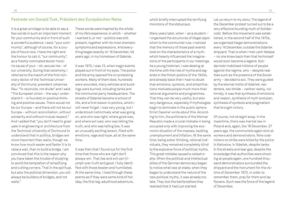#### Festrede von Donald Tusk, Präsident des Europäischen Rates

It is a great privilege to be able to say a few words in such an important moment for your community and in front of such a wonderful audience. I said, "your community", although of course, for a couple of hours now, I have the right and the honour to call it, "our community", as a freshly nominated doctor honoris causa of your – oh, excuse me – of our university. During that ceremony, I referred to the maxim of the first honorary doctor of the Technical University of Dortmund, president Johannes Rau: "To reconcile, not divide" and I said: "The European Union – the way I understand it – is founded on positive thinking and positive values. There would not be our Europe – and there will not be our Europe – without reconciliation, without solidarity and without mutual respect." And I added that "you don't need to graduate in engineering or architecture from the Technical University of Dortmund to understand that in politics, bridges are more important than walls, though we know how much easier and faster it is to raise a wall, than to build a bridge. I am convinced that this is the reason why you have taken the trouble of studying: to avoid the temptation of simplifying and cutting corners. That in the spiritual, but also the political dimension, you will always be builders of bridges, and not walls."

These words were inspired by the whole of my life's experience, in which – whether I wanted it, or not – politics was still present, together with its most dramatic symptoms and expressions. And everything began exactly on 16 December, 48 years ago, in my hometown of Gdańsk.

It was 1970, I was 13, when tragic events played out in front of my eyes. The police and the army opened fire on protesting workers. Many of them died, hundreds were wounded, many vehicles and buildings were burned, including tanks and the communist party headquarters. The streets of Gdańsk became a school of life, and a first lesson in politics, which I will never forget. I was very young, but I understood instinctively what was going on, and who was right; where good was, and where evil was; who was telling the truth, and who was telling lies. It was an unusually exciting lesson, filled with emotions, rage and hope, all at the same time.

It was then that I found out for the first time that those who are right don't always win. That lies and evil can triumph over truth and good. I fully identified with those beaten and humiliated. At the same time, I lived through these events as if they were some kind of holiday, the first big, adulthood adventure,

which briefly interrupted the terrifying monotony of the *status quo*.

Many years later, when – as a student – I organised the structures of illegal opposition to the communist rule, I noticed that the memory of those past events took on the characteristics of a myth, which heavily influenced the imaginations of the participants in our meetings. As a young historian, I was dealing at the time with the role of myths and legends in the Polish politics of the 1930s, and already back then I had no doubt that emotions, symbols, and simplifications motivate people much more than rational arguments and programmes. That they can be very useful, but also very dangerous, especially if mythologies begin to dominate in the public sphere. Ernst Cassirer wrote about this. According to him, the politicians of the Weimar Republic made a crucial mistake in being occupied only with improving the economic situation of the masses, tackling unemployment and inflation. At the same time, being sober thinking, rational individuals, they remained completely blind to the explosive force of political myths. This great mistake caused a catastrophe. When the political and intellectual elites of the German democracy began to notice what was at stake, when they began to understand the nature of the new political myths, it was already too late. They lost the battle before they realised that it had just started.

Let us return to my story. The legend of the December protest turned out to be a very effective founding myth of Solidarność. Before the movement was established, in the second half of the 1970s, we organised illegal demonstrations every 16 December, outside the Gdańsk shipyard. That is when I met Lech Wałęsa – no one knew back then that he himself would soon become a legend. Solidarność mobilised millions of people against the regime, who – despite realities such as the presence of the Soviet army – decided to act. They were guided by the eternal motto of Gdańsk: *nec temere, nec timide* – neither rashly, nor timidly. It was that synthesis of emotions and reason, synthesis of myth and plan, synthesis of symbols and pragmatism that brought victory.

Of course, not straight away. In the meantime, there was martial law in Poland and, again, the 16 December, 37 years ago, the communists again shot at workers and demonstrators. Nine coalminers on strike were killed by the police in Katowice. In Gdańsk, despite tanks in the streets and tear gas, despite the knowledge that authorities were shooting at people again, one hundred thousand demonstrators surrounded the shipyard and the monument for the victims of December 1970, in order to remember them, pray for them and lay flowers. Such was the force of the legend of December.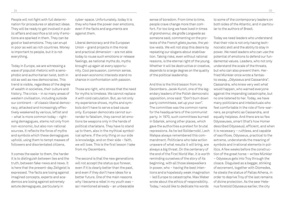People will not fight with full determination for procedures or abstract ideas. They will be ready to get involved in public affairs and sacrifice a lot only if emotions are sparked in them. They can be good or bad emotions. They can erupt in poor as well as rich countries. Money is important to people, but it is not everything.

Today in Europe, we are witnessing a wave of populist rhetoric with a xenophobic and authoritarian twist, both in old as well as new democracies. This trend is visible, regardless of the degree of wealth in societies, their culture and history. The crisis – in so many areas of western civilisation, including outside our continent – of classic liberal democracy, attacked and increasingly effectively weakened by various, leftist and – what is more common today – rightwing demagogues, stems not only from non-economic, but also non-rational sources. It reflects the force of myths and symbols which these demagogues uphold, using them to tempt masses of followers and disorientated citizens.

It comes the easier to them, the harder it is to distinguish between lies and the truth, between fake-news and news. It is here that the present-day Zeitgeist is expressed. The facts are losing against imagined concepts, experts and academics are losing against extremely astute demagogues, particularly in

cyber-space. Unfortunately, today it is they who have the power over emotions, even if the facts and arguments are against them.

Liberal democracy and the European Union – grand projects in the moral and practical dimension – are not able today to rouse such emotions or release feelings, as national myths do, myths brought up again at every opportunity. Cool persuasion, common sense, and even economic interests stand no chance in confrontation with passion.

Those are right, who stress that the need for myths is timeless. We cannot replace it with cold calculation. But, as not only my experience shows, myths and symbols don't have to serve a bad cause only. European democrats cannot surrender to fatalism, they cannot let emotions be weapons only in the hands of political charlatans. They have to stand up to them, also in the mythical symbolical sphere. If the only thing on our side is knowledge, and on their side – faith, we will lose. This is the first lesson I take from my Decembers.

The second is that the new generations will not accept the status quo forever, even if it is clearly better than the past, and even if they don't have ideas for a better future. One of the main reasons why I became a rebel in my youth was – as I mentioned already – an unbearable

sense of boredom. From time to time, people crave change more than comfort. For too long we have lived in times of *grand ennui, die große Langweile* as someone said, commenting on the protests of the French *gilets jaunes*, the yellow vests. We will not stop this desire by repeating our slogans about stabilisation. Taking risks, even without rational reasons, is the eternal right of the young. Whether it will be destructive or creative. depends to a large degree on the quality of the political leadership.

And this is the third lesson from my Decembers. Jacek Kuroń, one of the legendary leaders of the Polish democratic opposition, once said: "Don't burn down party committees, set up your own". The committee was the common name for the headquarters of the communist party. In 1970, such committees burned in Gdańsk, among other places, which gave the authorities a pretext for brutal repressions. As he led Solidarność, Lech Wałęsa always remembered this commandment. Politicians who take action unaware of what results it will bring, are always a big threat. On the centenary of the end of the First World War, it is worth reminding ourselves of the story of its beginning, with all those sleepwalkers in power, who – having the best intentions and a hopelessly weak imagination – led Europe to catastrophe. Max Weber wrote about the ethics of responsibility. Today, I would like to dedicate his words

to some of the contemporary leaders on both sides of the Atlantic, and in particular to the authors of Brexit.

Today we need leaders who understand that their role is not only having technocratic skill and the ability to stay in power. We need leaders who can use the potential of emotions to defend our fundamental values. Leaders, who not only understand the scale of the threats, but who can also prevent them. Herfried Münkler once wrote a fantastic essay, "Odysseus and Cassandra". Cassandra, who knew very well what would happen, who warned everyone against the impending catastrophe, but no one listened to her. Today, we have many politicians and intellectuals who feel comfortable in the role of fore-warners, as prophetic as Cassandra, and equally helpless. And there are so few Odysseuses, smart (that's how Homer described Odysseus), efficient, and when it is necessary – ruthless, and capable of sacrifices. Odysseus, practical to the extreme, understands the meaning of symbols and irrational elements in politics. A few weeks before the construction of the great horse – writes Münkler – Odysseus gets into Troy through the cloaca. Disguised as a beggar, stinking of excrement, together with Diomedes, he steals the statue of Pallas Athena, in order to deprive Troy of the last remains of divine protection. As the seer Helenus foretold Odysseus earlier, the city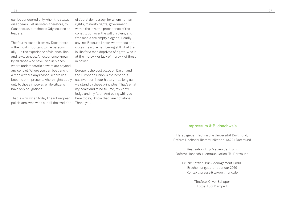can be conquered only when the statue disappears. Let us listen, therefore, to Cassandras, but choose Odysseuses as leaders.

The fourth lesson from my Decembers – the most important to me personally – is the experience of violence, lies and lawlessness. An experience known by all those who have lived in places where undemocratic powers are beyond any control. Where you can beat and kill a man without any reason, where lies become omnipresent, where rights apply only to those in power, while citizens have only obligations.

That is why, when today I hear European politicians, who wipe out all the tradition of liberal democracy, for whom human rights, minority rights, government within the law, the precedence of the constitution over the will of rulers, and free media are empty slogans, I loudly say: no. Because I know what these principles mean, remembering still what life is like for a man deprived of rights, who is at the mercy – or lack of mercy – of those in power.

Europe is the best place on Earth, and the European Union is the best political invention in our history – as long as we stand by these principles. That's what my heart and mind tell me, my knowledge and my faith. And being with you here today, I know that I am not alone. Thank you.

#### Impressum & Bildnachweis

Herausgeber: Technische Universität Dortmund, Referat Hochschulkommunikation, 44221 Dortmund

Realisation: IT & Medien Centrum, Referat Hochschulkommunikation, TU Dortmund

Druck: Koffler DruckManagement GmbH Erscheinungsdatum: Januar 2019 Kontakt: presse@tu-dortmund.de

> Titelfoto: Oliver Schaper Fotos: Lutz Kampert